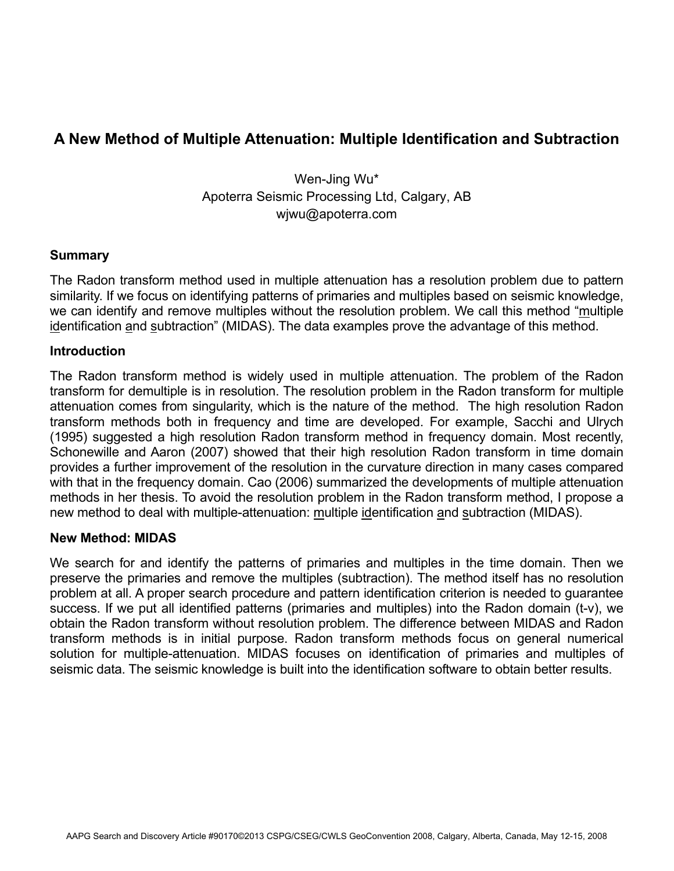# **A New Method of Multiple Attenuation: Multiple Identification and Subtraction**

Wen-Jing Wu\* Apoterra Seismic Processing Ltd, Calgary, AB wjwu@apoterra.com

## **Summary**

The Radon transform method used in multiple attenuation has a resolution problem due to pattern similarity. If we focus on identifying patterns of primaries and multiples based on seismic knowledge, we can identify and remove multiples without the resolution problem. We call this method "multiple identification and subtraction" (MIDAS). The data examples prove the advantage of this method.

## **Introduction**

The Radon transform method is widely used in multiple attenuation. The problem of the Radon transform for demultiple is in resolution. The resolution problem in the Radon transform for multiple attenuation comes from singularity, which is the nature of the method. The high resolution Radon transform methods both in frequency and time are developed. For example, Sacchi and Ulrych (1995) suggested a high resolution Radon transform method in frequency domain. Most recently, Schonewille and Aaron (2007) showed that their high resolution Radon transform in time domain provides a further improvement of the resolution in the curvature direction in many cases compared with that in the frequency domain. Cao (2006) summarized the developments of multiple attenuation methods in her thesis. To avoid the resolution problem in the Radon transform method, I propose a new method to deal with multiple-attenuation: multiple identification and subtraction (MIDAS).

#### **New Method: MIDAS**

We search for and identify the patterns of primaries and multiples in the time domain. Then we preserve the primaries and remove the multiples (subtraction). The method itself has no resolution problem at all. A proper search procedure and pattern identification criterion is needed to guarantee success. If we put all identified patterns (primaries and multiples) into the Radon domain (t-v), we obtain the Radon transform without resolution problem. The difference between MIDAS and Radon transform methods is in initial purpose. Radon transform methods focus on general numerical solution for multiple-attenuation. MIDAS focuses on identification of primaries and multiples of seismic data. The seismic knowledge is built into the identification software to obtain better results.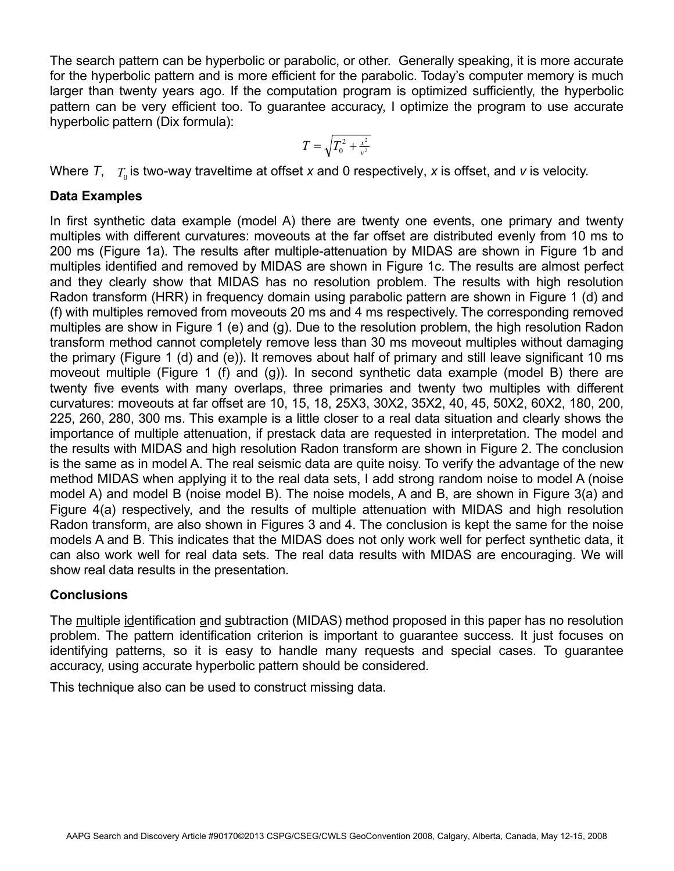The search pattern can be hyperbolic or parabolic, or other. Generally speaking, it is more accurate for the hyperbolic pattern and is more efficient for the parabolic. Today's computer memory is much larger than twenty years ago. If the computation program is optimized sufficiently, the hyperbolic pattern can be very efficient too. To guarantee accuracy, I optimize the program to use accurate hyperbolic pattern (Dix formula):

$$
T = \sqrt{T_0^2 + \frac{x^2}{v^2}}
$$

Where  $\mathcal{T}, \quad T_{_0}$  is two-way traveltime at offset x and 0 respectively, x is offset, and  $\bm{\nu}$  is velocity.

# **Data Examples**

In first synthetic data example (model A) there are twenty one events, one primary and twenty multiples with different curvatures: moveouts at the far offset are distributed evenly from 10 ms to 200 ms (Figure 1a). The results after multiple-attenuation by MIDAS are shown in Figure 1b and multiples identified and removed by MIDAS are shown in Figure 1c. The results are almost perfect and they clearly show that MIDAS has no resolution problem. The results with high resolution Radon transform (HRR) in frequency domain using parabolic pattern are shown in Figure 1 (d) and (f) with multiples removed from moveouts 20 ms and 4 ms respectively. The corresponding removed multiples are show in Figure 1 (e) and (g). Due to the resolution problem, the high resolution Radon transform method cannot completely remove less than 30 ms moveout multiples without damaging the primary (Figure 1 (d) and (e)). It removes about half of primary and still leave significant 10 ms moveout multiple (Figure 1 (f) and (g)). In second synthetic data example (model B) there are twenty five events with many overlaps, three primaries and twenty two multiples with different curvatures: moveouts at far offset are 10, 15, 18, 25X3, 30X2, 35X2, 40, 45, 50X2, 60X2, 180, 200, 225, 260, 280, 300 ms. This example is a little closer to a real data situation and clearly shows the importance of multiple attenuation, if prestack data are requested in interpretation. The model and the results with MIDAS and high resolution Radon transform are shown in Figure 2. The conclusion is the same as in model A. The real seismic data are quite noisy. To verify the advantage of the new method MIDAS when applying it to the real data sets, I add strong random noise to model A (noise model A) and model B (noise model B). The noise models, A and B, are shown in Figure 3(a) and Figure 4(a) respectively, and the results of multiple attenuation with MIDAS and high resolution Radon transform, are also shown in Figures 3 and 4. The conclusion is kept the same for the noise models A and B. This indicates that the MIDAS does not only work well for perfect synthetic data, it can also work well for real data sets. The real data results with MIDAS are encouraging. We will show real data results in the presentation.

# **Conclusions**

The multiple identification and subtraction (MIDAS) method proposed in this paper has no resolution problem. The pattern identification criterion is important to guarantee success*.* It just focuses on identifying patterns, so it is easy to handle many requests and special cases. To guarantee accuracy, using accurate hyperbolic pattern should be considered.

This technique also can be used to construct missing data.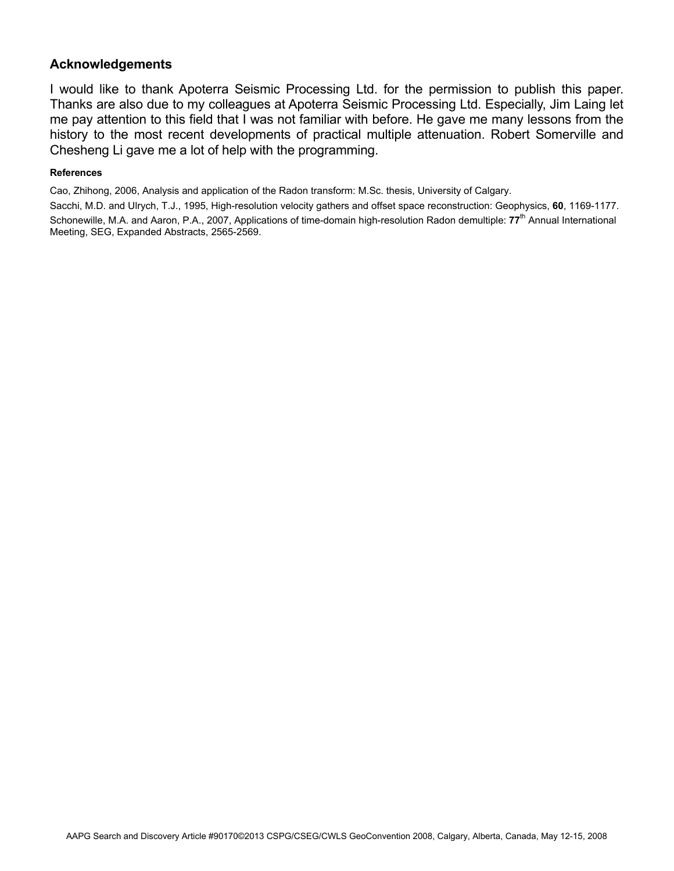# **Acknowledgements**

I would like to thank Apoterra Seismic Processing Ltd. for the permission to publish this paper. Thanks are also due to my colleagues at Apoterra Seismic Processing Ltd. Especially, Jim Laing let me pay attention to this field that I was not familiar with before. He gave me many lessons from the history to the most recent developments of practical multiple attenuation. Robert Somerville and Chesheng Li gave me a lot of help with the programming.

#### **References**

Cao, Zhihong, 2006, Analysis and application of the Radon transform: M.Sc. thesis, University of Calgary.

Sacchi, M.D. and Ulrych, T.J., 1995, High-resolution velocity gathers and offset space reconstruction: Geophysics, **60**, 1169-1177. Schonewille, M.A. and Aaron, P.A., 2007, Applications of time-domain high-resolution Radon demultiple: 77<sup>th</sup> Annual International Meeting, SEG, Expanded Abstracts, 2565-2569.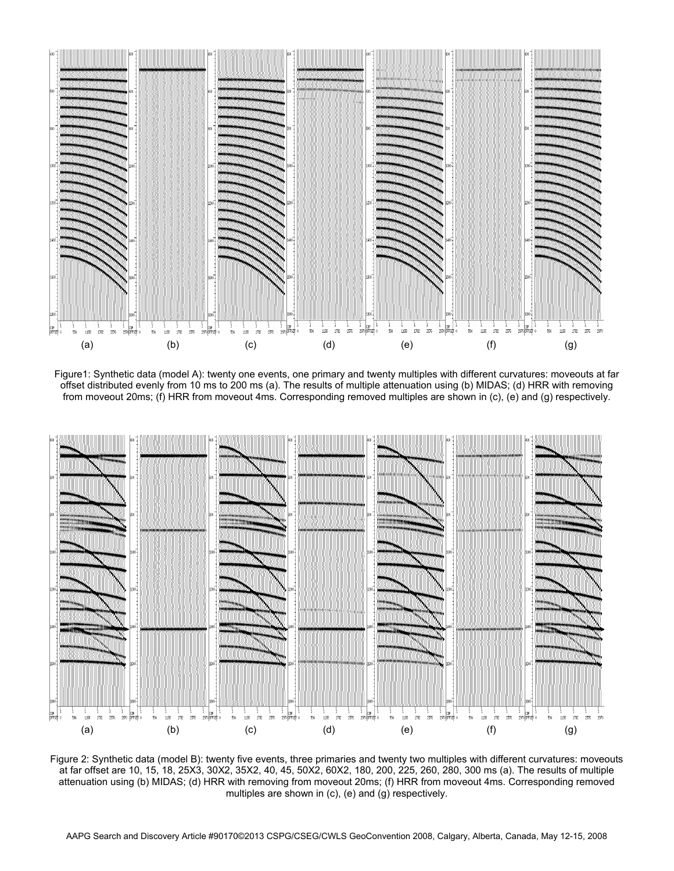

Figure1: Synthetic data (model A): twenty one events, one primary and twenty multiples with different curvatures: moveouts at far offset distributed evenly from 10 ms to 200 ms (a). The results of multiple attenuation using (b) MIDAS; (d) HRR with removing from moveout 20ms; (f) HRR from moveout 4ms. Corresponding removed multiples are shown in (c), (e) and (g) respectively.



Figure 2: Synthetic data (model B): twenty five events, three primaries and twenty two multiples with different curvatures: moveouts at far offset are 10, 15, 18, 25X3, 30X2, 35X2, 40, 45, 50X2, 60X2, 180, 200, 225, 260, 280, 300 ms (a). The results of multiple attenuation using (b) MIDAS; (d) HRR with removing from moveout 20ms; (f) HRR from moveout 4ms. Corresponding removed multiples are shown in (c), (e) and (g) respectively.